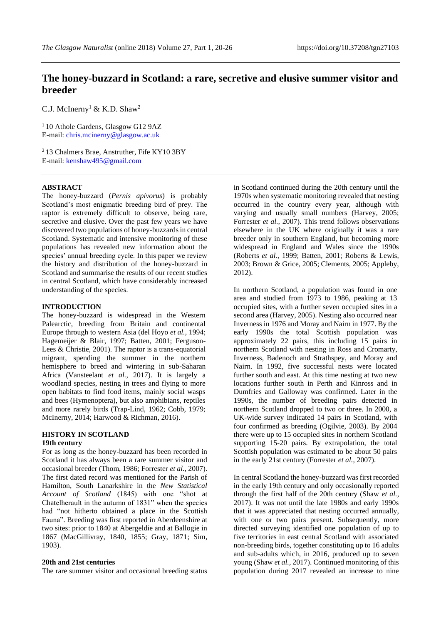# **The honey-buzzard in Scotland: a rare, secretive and elusive summer visitor and breeder**

C.J. McInerny<sup>1</sup> & K.D. Shaw<sup>2</sup>

<sup>1</sup> 10 Athole Gardens, Glasgow G12 9AZ E-mail: [chris.mcinerny@glasgow.ac.uk](mailto:chris.mcinerny@glasgow.ac.uk)

<sup>2</sup> 13 Chalmers Brae, Anstruther, Fife KY10 3BY E-mail: [kenshaw495@gmail.com](mailto:kenshaw495@gmail.com)

### **ABSTRACT**

The honey-buzzard (*Pernis apivorus*) is probably Scotland's most enigmatic breeding bird of prey. The raptor is extremely difficult to observe, being rare, secretive and elusive. Over the past few years we have discovered two populations of honey-buzzards in central Scotland. Systematic and intensive monitoring of these populations has revealed new information about the species' annual breeding cycle. In this paper we review the history and distribution of the honey-buzzard in Scotland and summarise the results of our recent studies in central Scotland, which have considerably increased understanding of the species.

## **INTRODUCTION**

The honey-buzzard is widespread in the Western Palearctic, breeding from Britain and continental Europe through to western Asia (del Hoyo *et al.*, 1994; Hagemeijer & Blair, 1997; Batten, 2001; Ferguson-Lees & Christie, 2001). The raptor is a trans-equatorial migrant, spending the summer in the northern hemisphere to breed and wintering in sub-Saharan Africa (Vansteelant *et al.,* 2017). It is largely a woodland species, nesting in trees and flying to more open habitats to find food items, mainly social wasps and bees (Hymenoptera), but also amphibians, reptiles and more rarely birds (Trap-Lind, 1962; Cobb, 1979; McInerny, 2014; Harwood & Richman, 2016).

## **HISTORY IN SCOTLAND**

#### **19th century**

For as long as the honey-buzzard has been recorded in Scotland it has always been a rare summer visitor and occasional breeder (Thom, 1986; Forrester *et al.*, 2007). The first dated record was mentioned for the Parish of Hamilton, South Lanarkshire in the *New Statistical Account of Scotland* (1845) with one "shot at Chatelherault in the autumn of 1831" when the species had "not hitherto obtained a place in the Scottish Fauna". Breeding was first reported in Aberdeenshire at two sites: prior to 1840 at Abergeldie and at Ballogie in 1867 (MacGillivray, 1840, 1855; Gray, 1871; Sim, 1903).

#### **20th and 21st centuries**

The rare summer visitor and occasional breeding status

in Scotland continued during the 20th century until the 1970s when systematic monitoring revealed that nesting occurred in the country every year, although with varying and usually small numbers (Harvey, 2005; Forrester *et al.,* 2007). This trend follows observations elsewhere in the UK where originally it was a rare breeder only in southern England, but becoming more widespread in England and Wales since the 1990s (Roberts *et al.,* 1999; Batten, 2001; Roberts & Lewis, 2003; Brown & Grice, 2005; Clements, 2005; Appleby, 2012).

In northern Scotland, a population was found in one area and studied from 1973 to 1986, peaking at 13 occupied sites, with a further seven occupied sites in a second area (Harvey, 2005). Nesting also occurred near Inverness in 1976 and Moray and Nairn in 1977. By the early 1990s the total Scottish population was approximately 22 pairs, this including 15 pairs in northern Scotland with nesting in Ross and Cromarty, Inverness, Badenoch and Strathspey, and Moray and Nairn. In 1992, five successful nests were located further south and east. At this time nesting at two new locations further south in Perth and Kinross and in Dumfries and Galloway was confirmed. Later in the 1990s, the number of breeding pairs detected in northern Scotland dropped to two or three. In 2000, a UK-wide survey indicated 14 pairs in Scotland, with four confirmed as breeding (Ogilvie, 2003). By 2004 there were up to 15 occupied sites in northern Scotland supporting 15-20 pairs. By extrapolation, the total Scottish population was estimated to be about 50 pairs in the early 21st century (Forrester *et al.,* 2007).

In central Scotland the honey-buzzard was first recorded in the early 19th century and only occasionally reported through the first half of the 20th century (Shaw *et al.,* 2017). It was not until the late 1980s and early 1990s that it was appreciated that nesting occurred annually, with one or two pairs present. Subsequently, more directed surveying identified one population of up to five territories in east central Scotland with associated non-breeding birds, together constituting up to 16 adults and sub-adults which, in 2016, produced up to seven young (Shaw *et al.,* 2017). Continued monitoring of this population during 2017 revealed an increase to nine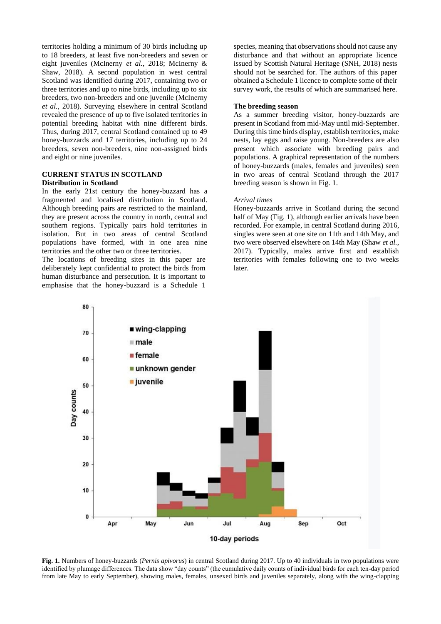territories holding a minimum of 30 birds including up to 18 breeders, at least five non-breeders and seven or eight juveniles (McInerny *et al.*, 2018; McInerny & Shaw, 2018). A second population in west central Scotland was identified during 2017, containing two or three territories and up to nine birds, including up to six breeders, two non-breeders and one juvenile (McInerny *et al.*, 2018). Surveying elsewhere in central Scotland revealed the presence of up to five isolated territories in potential breeding habitat with nine different birds. Thus, during 2017, central Scotland contained up to 49 honey-buzzards and 17 territories, including up to 24 breeders, seven non-breeders, nine non-assigned birds and eight or nine juveniles.

# **CURRENT STATUS IN SCOTLAND Distribution in Scotland**

In the early 21st century the honey-buzzard has a fragmented and localised distribution in Scotland. Although breeding pairs are restricted to the mainland, they are present across the country in north, central and southern regions. Typically pairs hold territories in isolation. But in two areas of central Scotland populations have formed, with in one area nine territories and the other two or three territories.

The locations of breeding sites in this paper are deliberately kept confidential to protect the birds from human disturbance and persecution. It is important to emphasise that the honey-buzzard is a Schedule 1 species, meaning that observations should not cause any disturbance and that without an appropriate licence issued by Scottish Natural Heritage (SNH, 2018) nests should not be searched for. The authors of this paper obtained a Schedule 1 licence to complete some of their survey work, the results of which are summarised here.

## **The breeding season**

As a summer breeding visitor, honey-buzzards are present in Scotland from mid-May until mid-September. During this time birds display, establish territories, make nests, lay eggs and raise young. Non-breeders are also present which associate with breeding pairs and populations. A graphical representation of the numbers of honey-buzzards (males, females and juveniles) seen in two areas of central Scotland through the 2017 breeding season is shown in Fig. 1.

#### *Arrival times*

Honey-buzzards arrive in Scotland during the second half of May (Fig. 1), although earlier arrivals have been recorded. For example, in central Scotland during 2016, singles were seen at one site on 11th and 14th May, and two were observed elsewhere on 14th May (Shaw *et al.*, 2017). Typically, males arrive first and establish territories with females following one to two weeks later.



**Fig. 1.** Numbers of honey-buzzards (*Pernis apivorus*) in central Scotland during 2017. Up to 40 individuals in two populations were identified by plumage differences. The data show "day counts" (the cumulative daily counts of individual birds for each ten-day period from late May to early September), showing males, females, unsexed birds and juveniles separately, along with the wing-clapping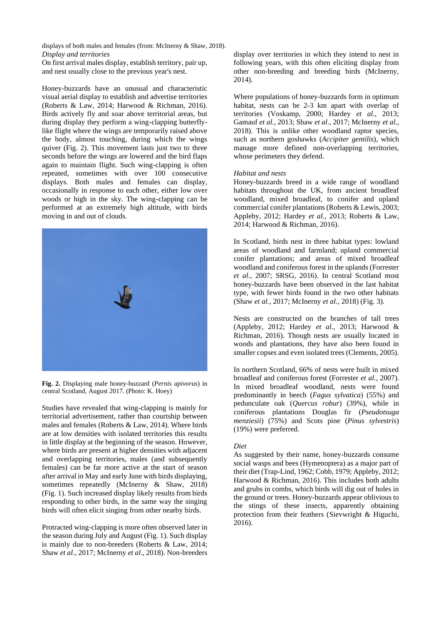displays of both males and females (from: McInerny & Shaw, 2018). *Display and territories*

On first arrival males display, establish territory, pair up, and nest usually close to the previous year's nest.

Honey-buzzards have an unusual and characteristic visual aerial display to establish and advertise territories (Roberts & Law, 2014; Harwood & Richman, 2016). Birds actively fly and soar above territorial areas, but during display they perform a wing-clapping butterflylike flight where the wings are temporarily raised above the body, almost touching, during which the wings quiver (Fig. 2). This movement lasts just two to three seconds before the wings are lowered and the bird flaps again to maintain flight. Such wing-clapping is often repeated, sometimes with over 100 consecutive displays. Both males and females can display, occasionally in response to each other, either low over woods or high in the sky. The wing-clapping can be performed at an extremely high altitude, with birds moving in and out of clouds.



**Fig. 2.** Displaying male honey-buzzard (*Pernis apivorus*) in central Scotland, August 2017. (Photo: K. Hoey)

Studies have revealed that wing-clapping is mainly for territorial advertisement, rather than courtship between males and females (Roberts & Law, 2014). Where birds are at low densities with isolated territories this results in little display at the beginning of the season. However, where birds are present at higher densities with adjacent and overlapping territories, males (and subsequently females) can be far more active at the start of season after arrival in May and early June with birds displaying, sometimes repeatedly (McInerny & Shaw, 2018) (Fig. 1). Such increased display likely results from birds responding to other birds, in the same way the singing birds will often elicit singing from other nearby birds.

Protracted wing-clapping is more often observed later in the season during July and August (Fig. 1). Such display is mainly due to non-breeders (Roberts & Law, 2014; Shaw *et al*., 2017; McInerny *et al*., 2018). Non-breeders

display over territories in which they intend to nest in following years, with this often eliciting display from other non-breeding and breeding birds (McInerny, 2014).

Where populations of honey-buzzards form in optimum habitat, nests can be 2-3 km apart with overlap of territories (Voskamp, 2000; Hardey *et al.,* 2013; Gamauf *et al*., 2013; Shaw *et al*., 2017; McInerny *et al*., 2018). This is unlike other woodland raptor species, such as northern goshawks (*Accipiter gentilis*), which manage more defined non-overlapping territories, whose perimeters they defend.

## *Habitat and nests*

Honey-buzzards breed in a wide range of woodland habitats throughout the UK, from ancient broadleaf woodland, mixed broadleaf, to conifer and upland commercial conifer plantations (Roberts & Lewis, 2003; Appleby, 2012; Hardey *et al.,* 2013; Roberts & Law, 2014; Harwood & Richman, 2016).

In Scotland, birds nest in three habitat types: lowland areas of woodland and farmland; upland commercial conifer plantations; and areas of mixed broadleaf woodland and coniferous forest in the uplands (Forrester *et al.,* 2007; SRSG, 2016). In central Scotland most honey-buzzards have been observed in the last habitat type, with fewer birds found in the two other habitats (Shaw *et al.,* 2017; McInerny *et al.,* 2018) (Fig. 3).

Nests are constructed on the branches of tall trees (Appleby, 2012; Hardey *et al.,* 2013; Harwood & Richman, 2016). Though nests are usually located in woods and plantations, they have also been found in smaller copses and even isolated trees (Clements, 2005).

In northern Scotland, 66% of nests were built in mixed broadleaf and coniferous forest (Forrester *et al.*, 2007). In mixed broadleaf woodland, nests were found predominantly in beech (*Fagus sylvatica*) (55%) and pedunculate oak (*Quercus robur*) (39%), while in coniferous plantations Douglas fir (*Pseudotsuga menziesii*) (75%) and Scots pine (*Pinus sylvestris*) (19%) were preferred.

## *Diet*

As suggested by their name, honey-buzzards consume social wasps and bees (Hymenoptera) as a major part of their diet (Trap-Lind, 1962; Cobb, 1979; Appleby, 2012; Harwood & Richman, 2016). This includes both adults and grubs in combs, which birds will dig out of holes in the ground or trees. Honey-buzzards appear oblivious to the stings of these insects, apparently obtaining protection from their feathers (Sievwright & Higuchi, 2016).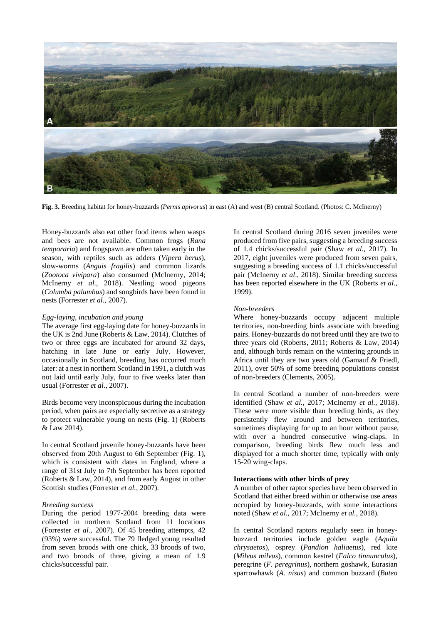

**Fig. 3.** Breeding habitat for honey-buzzards (*Pernis apivorus*) in east (A) and west (B) central Scotland. (Photos: C. McInerny)

Honey-buzzards also eat other food items when wasps and bees are not available. Common frogs (*Rana temporaria*) and frogspawn are often taken early in the season, with reptiles such as adders (*Vipera berus*), slow-worms (*Anguis fragilis*) and common lizards (*Zootoca vivipara*) also consumed (McInerny, 2014; McInerny *et al.,* 2018). Nestling wood pigeons (*Columba palumbus*) and songbirds have been found in nests (Forrester *et al.*, 2007).

# *Egg-laying, incubation and young*

The average first egg-laying date for honey-buzzards in the UK is 2nd June (Roberts & Law, 2014). Clutches of two or three eggs are incubated for around 32 days, hatching in late June or early July. However, occasionally in Scotland, breeding has occurred much later: at a nest in northern Scotland in 1991, a clutch was not laid until early July, four to five weeks later than usual (Forrester *et al.*, 2007).

Birds become very inconspicuous during the incubation period, when pairs are especially secretive as a strategy to protect vulnerable young on nests (Fig. 1) (Roberts & Law 2014).

In central Scotland juvenile honey-buzzards have been observed from 20th August to 6th September (Fig. 1), which is consistent with dates in England, where a range of 31st July to 7th September has been reported (Roberts & Law, 2014), and from early August in other Scottish studies (Forrester *et al.,* 2007).

## *Breeding success*

During the period 1977-2004 breeding data were collected in northern Scotland from 11 locations (Forrester *et al.*, 2007). Of 45 breeding attempts, 42 (93%) were successful. The 79 fledged young resulted from seven broods with one chick, 33 broods of two, and two broods of three, giving a mean of 1.9 chicks/successful pair.

In central Scotland during 2016 seven juveniles were produced from five pairs, suggesting a breeding success of 1.4 chicks/successful pair (Shaw *et al.,* 2017). In 2017, eight juveniles were produced from seven pairs, suggesting a breeding success of 1.1 chicks/successful pair (McInerny *et al*., 2018). Similar breeding success has been reported elsewhere in the UK (Roberts *et al.*, 1999).

## *Non-breeders*

Where honey-buzzards occupy adjacent multiple territories, non-breeding birds associate with breeding pairs. Honey-buzzards do not breed until they are two to three years old (Roberts, 2011; Roberts & Law, 2014) and, although birds remain on the wintering grounds in Africa until they are two years old (Gamauf & Friedl, 2011), over 50% of some breeding populations consist of non-breeders (Clements, 2005).

In central Scotland a number of non-breeders were identified (Shaw *et al.*, 2017; McInerny *et al.*, 2018). These were more visible than breeding birds, as they persistently flew around and between territories, sometimes displaying for up to an hour without pause, with over a hundred consecutive wing-claps. In comparison, breeding birds flew much less and displayed for a much shorter time, typically with only 15-20 wing-claps.

## **Interactions with other birds of prey**

A number of other raptor species have been observed in Scotland that either breed within or otherwise use areas occupied by honey-buzzards, with some interactions noted (Shaw *et al.*, 2017; McInerny *et al.*, 2018).

In central Scotland raptors regularly seen in honeybuzzard territories include golden eagle (*Aquila chrysaetos*), osprey (*Pandion haliaetus*), red kite (*Milvus milvus*), common kestrel (*Falco tinnunculus*), peregrine (*F. peregrinus*), northern goshawk*,* Eurasian sparrowhawk (*A. nisus*) and common buzzard (*Buteo*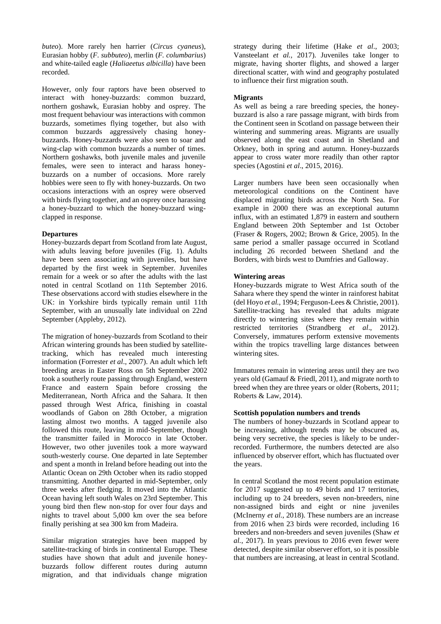*buteo*). More rarely hen harrier (*Circus cyaneus*), Eurasian hobby (*F. subbuteo*), merlin (*F. columbarius*) and white-tailed eagle (*Haliaeetus albicilla*) have been recorded.

However, only four raptors have been observed to interact with honey-buzzards: common buzzard, northern goshawk, Eurasian hobby and osprey. The most frequent behaviour was interactions with common buzzards, sometimes flying together, but also with common buzzards aggressively chasing honeybuzzards. Honey-buzzards were also seen to soar and wing-clap with common buzzards a number of times. Northern goshawks, both juvenile males and juvenile females, were seen to interact and harass honeybuzzards on a number of occasions. More rarely hobbies were seen to fly with honey-buzzards. On two occasions interactions with an osprey were observed with birds flying together, and an osprey once harassing a honey-buzzard to which the honey-buzzard wingclapped in response.

# **Departures**

Honey-buzzards depart from Scotland from late August, with adults leaving before juveniles (Fig. 1). Adults have been seen associating with juveniles, but have departed by the first week in September. Juveniles remain for a week or so after the adults with the last noted in central Scotland on 11th September 2016. These observations accord with studies elsewhere in the UK: in Yorkshire birds typically remain until 11th September, with an unusually late individual on 22nd September (Appleby, 2012).

The migration of honey-buzzards from Scotland to their African wintering grounds has been studied by satellitetracking, which has revealed much interesting information (Forrester *et al*., 2007). An adult which left breeding areas in Easter Ross on 5th September 2002 took a southerly route passing through England, western France and eastern Spain before crossing the Mediterranean, North Africa and the Sahara. It then passed through West Africa, finishing in coastal woodlands of Gabon on 28th October, a migration lasting almost two months. A tagged juvenile also followed this route, leaving in mid-September, though the transmitter failed in Morocco in late October. However, two other juveniles took a more wayward south-westerly course. One departed in late September and spent a month in Ireland before heading out into the Atlantic Ocean on 29th October when its radio stopped transmitting. Another departed in mid-September, only three weeks after fledging. It moved into the Atlantic Ocean having left south Wales on 23rd September. This young bird then flew non-stop for over four days and nights to travel about 5,000 km over the sea before finally perishing at sea 300 km from Madeira.

Similar migration strategies have been mapped by satellite-tracking of birds in continental Europe. These studies have shown that adult and juvenile honeybuzzards follow different routes during autumn migration, and that individuals change migration strategy during their lifetime (Hake *et al*., 2003; Vansteelant *et al.,* 2017). Juveniles take longer to migrate, having shorter flights, and showed a larger directional scatter, with wind and geography postulated to influence their first migration south.

## **Migrants**

As well as being a rare breeding species, the honeybuzzard is also a rare passage migrant, with birds from the Continent seen in Scotland on passage between their wintering and summering areas. Migrants are usually observed along the east coast and in Shetland and Orkney, both in spring and autumn. Honey-buzzards appear to cross water more readily than other raptor species (Agostini *et al*., 2015, 2016).

Larger numbers have been seen occasionally when meteorological conditions on the Continent have displaced migrating birds across the North Sea. For example in 2000 there was an exceptional autumn influx, with an estimated 1,879 in eastern and southern England between 20th September and 1st October (Fraser & Rogers, 2002; Brown & Grice, 2005). In the same period a smaller passage occurred in Scotland including 26 recorded between Shetland and the Borders, with birds west to Dumfries and Galloway.

## **Wintering areas**

Honey-buzzards migrate to West Africa south of the Sahara where they spend the winter in rainforest habitat (del Hoyo *et al.*, 1994; Ferguson-Lees & Christie, 2001). Satellite-tracking has revealed that adults migrate directly to wintering sites where they remain within restricted territories (Strandberg *et al*., 2012). Conversely, immatures perform extensive movements within the tropics travelling large distances between wintering sites.

Immatures remain in wintering areas until they are two years old (Gamauf & Friedl, 2011), and migrate north to breed when they are three years or older (Roberts, 2011; Roberts & Law, 2014).

## **Scottish population numbers and trends**

The numbers of honey-buzzards in Scotland appear to be increasing, although trends may be obscured as, being very secretive, the species is likely to be underrecorded. Furthermore, the numbers detected are also influenced by observer effort, which has fluctuated over the years.

In central Scotland the most recent population estimate for 2017 suggested up to 49 birds and 17 territories, including up to 24 breeders, seven non-breeders, nine non-assigned birds and eight or nine juveniles (McInerny *et al.*, 2018). These numbers are an increase from 2016 when 23 birds were recorded, including 16 breeders and non-breeders and seven juveniles (Shaw *et al.*, 2017). In years previous to 2016 even fewer were detected, despite similar observer effort, so it is possible that numbers are increasing, at least in central Scotland.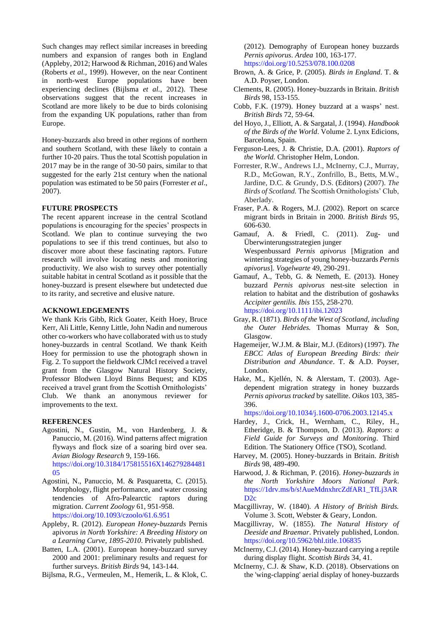Such changes may reflect similar increases in breeding numbers and expansion of ranges both in England (Appleby, 2012; Harwood & Richman, 2016) and Wales (Roberts *et al.,* 1999). However, on the near Continent in north-west Europe populations have been experiencing declines (Bijlsma *et al.,* 2012). These observations suggest that the recent increases in Scotland are more likely to be due to birds colonising from the expanding UK populations, rather than from Europe.

Honey-buzzards also breed in other regions of northern and southern Scotland, with these likely to contain a further 10-20 pairs. Thus the total Scottish population in 2017 may be in the range of 30-50 pairs, similar to that suggested for the early 21st century when the national population was estimated to be 50 pairs (Forrester *et al*., 2007).

## **FUTURE PROSPECTS**

The recent apparent increase in the central Scotland populations is encouraging for the species' prospects in Scotland. We plan to continue surveying the two populations to see if this trend continues, but also to discover more about these fascinating raptors. Future research will involve locating nests and monitoring productivity. We also wish to survey other potentially suitable habitat in central Scotland as it possible that the honey-buzzard is present elsewhere but undetected due to its rarity, and secretive and elusive nature.

#### **ACKNOWLEDGEMENTS**

We thank Kris Gibb, Rick Goater, Keith Hoey, Bruce Kerr, Ali Little, Kenny Little, John Nadin and numerous other co-workers who have collaborated with us to study honey-buzzards in central Scotland. We thank Keith Hoey for permission to use the photograph shown in Fig. 2. To support the fieldwork CJMcI received a travel grant from the Glasgow Natural History Society, Professor Blodwen Lloyd Binns Bequest; and KDS received a travel grant from the Scottish Ornithologists' Club. We thank an anonymous reviewer for improvements to the text.

#### **REFERENCES**

- Agostini, N., Gustin, M., von Hardenberg, J. & Panuccio, M. (2016). Wind patterns affect migration flyways and flock size of a soaring bird over sea. *Avian Biology Research* 9, 159-166. [https://doi.org/10.3184/175815516X146279284481](https://doi.org/10.3184/175815516X14627928448105) [05](https://doi.org/10.3184/175815516X14627928448105)
- Agostini, N., Panuccio, M. & Pasquaretta, C. (2015). Morphology, flight performance, and water crossing tendencies of Afro-Palearctic raptors during migration. *Current Zoology* 61, 951-958. <https://doi.org/10.1093/czoolo/61.6.951>
- Appleby, R. (2012). *European Honey-buzzards* Pernis apivorus *in North Yorkshire: A Breeding History on a Learning Curve, 1895-2010*. Privately published.
- Batten, L.A. (2001). European honey-buzzard survey 2000 and 2001: preliminary results and request for further surveys. *British Birds* 94, 143-144.

Bijlsma, R.G., Vermeulen, M., Hemerik, L. & Klok, C.

(2012). Demography of European honey buzzards *Pernis apivorus*. *Ardea* 100, 163-177. <https://doi.org/10.5253/078.100.0208>

- Brown, A. & Grice, P. (2005). *Birds in England*. T. & A.D. Poyser, London.
- Clements, R. (2005). Honey-buzzards in Britain. *British Birds* 98, 153-155.
- Cobb, F.K. (1979). Honey buzzard at a wasps' nest. *British Birds* 72, 59-64.
- del Hoyo, J., Elliott, A. & Sargatal, J. (1994). *Handbook of the Birds of the World*. Volume 2. Lynx Edicions, Barcelona, Spain.
- Ferguson-Lees, J. & Christie, D.A. (2001). *Raptors of the World.* Christopher Helm, London.
- Forrester, R.W., Andrews I.J., McInerny, C.J., Murray, R.D., McGowan, R.Y., Zonfrillo, B., Betts, M.W., Jardine, D.C. & Grundy, D.S. (Editors) (2007). *The Birds of Scotland.* The Scottish Ornithologists' Club, Aberlady.
- Fraser, P.A. & Rogers, M.J. (2002). Report on scarce migrant birds in Britain in 2000. *British Birds* 95, 606-630.
- Gamauf, A. & Friedl, C. (2011). Zug- und Überwinterungsstrategien junger Wespenbussard *Pernis apivorus* [Migration and wintering strategies of young honey-buzzards *Pernis apivorus*]. *Vogelwarte* 49, 290-291.
- Gamauf, A., Tebb, G. & Nemeth, E. (2013). Honey buzzard *Pernis apivorus* nest-site selection in relation to habitat and the distribution of goshawks *Accipiter gentilis. Ibis* 155, 258-270. <https://doi.org/10.1111/ibi.12023>
- Gray, R. (1871). *Birds of the West of Scotland, including the Outer Hebrides.* Thomas Murray & Son, Glasgow.
- Hagemeijer, W.J.M. & Blair, M.J. (Editors) (1997). *The EBCC Atlas of European Breeding Birds: their Distribution and Abundance*. T. & A.D. Poyser, London.
- Hake, M., Kjellén, N. & Alerstam, T. (2003). Agedependent migration strategy in honey buzzards *Pernis apivorus tracked* by satellite. *Oikos* 103, 385- 396.

<https://doi.org/10.1034/j.1600-0706.2003.12145.x>

- Hardey, J., Crick, H., Wernham, C., Riley, H., Etheridge, B. & Thompson, D. (2013). *Raptors*: *a Field Guide for Surveys and Monitoring.* Third Edition. The Stationery Office (TSO), Scotland.
- Harvey, M. (2005). Honey-buzzards in Britain. *British Birds* 98, 489-490.
- Harwood, J. & Richman, P. (2016). *Honey-buzzards in the North Yorkshire Moors National Park*. [https://1drv.ms/b/s!AueMdnxhrcZdfAR1\\_TfLj3AR](https://1drv.ms/b/s!AueMdnxhrcZdfAR1_TfLj3ARD2c) [D2c](https://1drv.ms/b/s!AueMdnxhrcZdfAR1_TfLj3ARD2c)
- Macgillivray, W. (1840). *A History of British Birds.* Volume 3. Scott, Webster & Geary, London.
- Macgillivray, W. (1855). *The Natural History of Deeside and Braemar*. Privately published, London. <https://doi.org/10.5962/bhl.title.106835>
- McInerny, C.J. (2014). Honey-buzzard carrying a reptile during display flight. *Scottish Birds* 34, 41.
- McInerny, C.J. & Shaw, K.D. (2018). Observations on the 'wing-clapping' aerial display of honey-buzzards